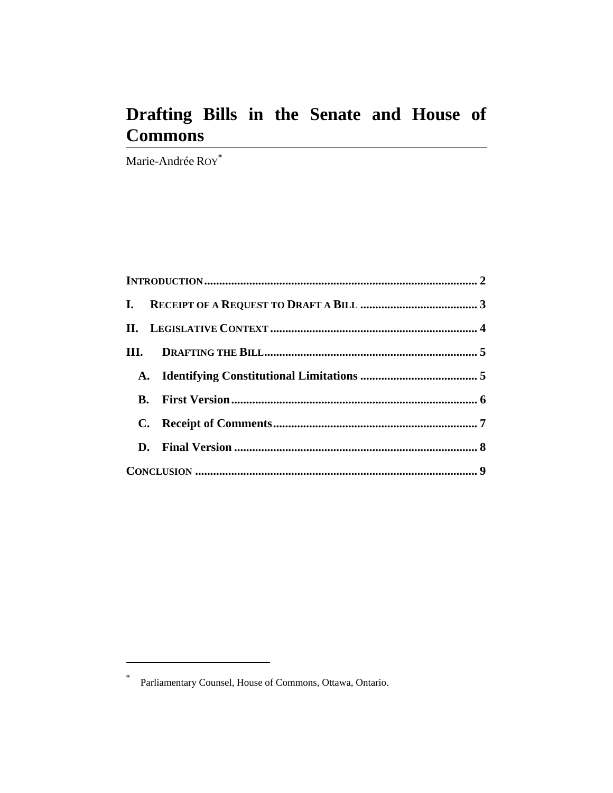# **Drafting Bills in the Senate and House of Commons**

Marie-Andrée ROY**\***

 $\overline{a}$ 

<sup>\*</sup> Parliamentary Counsel, House of Commons, Ottawa, Ontario.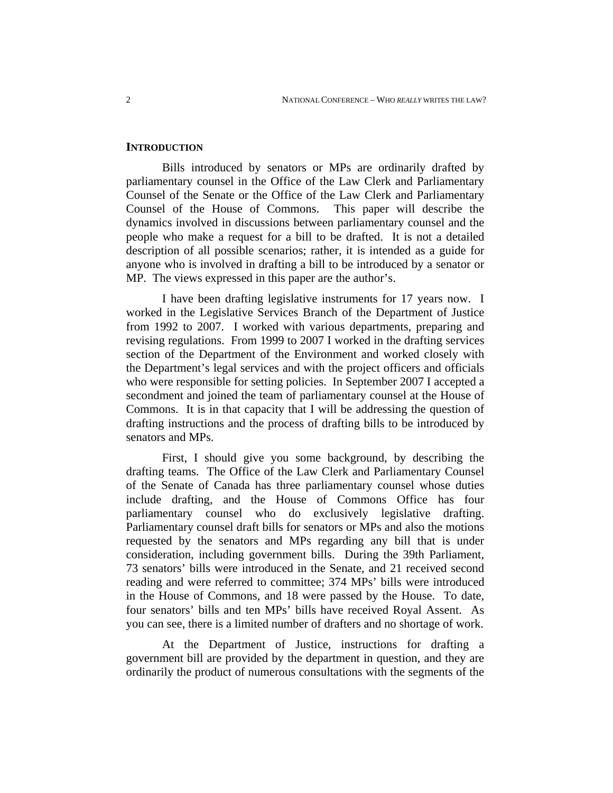#### **INTRODUCTION**

Bills introduced by senators or MPs are ordinarily drafted by parliamentary counsel in the Office of the Law Clerk and Parliamentary Counsel of the Senate or the Office of the Law Clerk and Parliamentary Counsel of the House of Commons. This paper will describe the dynamics involved in discussions between parliamentary counsel and the people who make a request for a bill to be drafted. It is not a detailed description of all possible scenarios; rather, it is intended as a guide for anyone who is involved in drafting a bill to be introduced by a senator or MP. The views expressed in this paper are the author's.

I have been drafting legislative instruments for 17 years now. I worked in the Legislative Services Branch of the Department of Justice from 1992 to 2007. I worked with various departments, preparing and revising regulations. From 1999 to 2007 I worked in the drafting services section of the Department of the Environment and worked closely with the Department's legal services and with the project officers and officials who were responsible for setting policies. In September 2007 I accepted a secondment and joined the team of parliamentary counsel at the House of Commons. It is in that capacity that I will be addressing the question of drafting instructions and the process of drafting bills to be introduced by senators and MPs.

First, I should give you some background, by describing the drafting teams. The Office of the Law Clerk and Parliamentary Counsel of the Senate of Canada has three parliamentary counsel whose duties include drafting, and the House of Commons Office has four parliamentary counsel who do exclusively legislative drafting. Parliamentary counsel draft bills for senators or MPs and also the motions requested by the senators and MPs regarding any bill that is under consideration, including government bills. During the 39th Parliament, 73 senators' bills were introduced in the Senate, and 21 received second reading and were referred to committee; 374 MPs' bills were introduced in the House of Commons, and 18 were passed by the House. To date, four senators' bills and ten MPs' bills have received Royal Assent. As you can see, there is a limited number of drafters and no shortage of work.

At the Department of Justice, instructions for drafting a government bill are provided by the department in question, and they are ordinarily the product of numerous consultations with the segments of the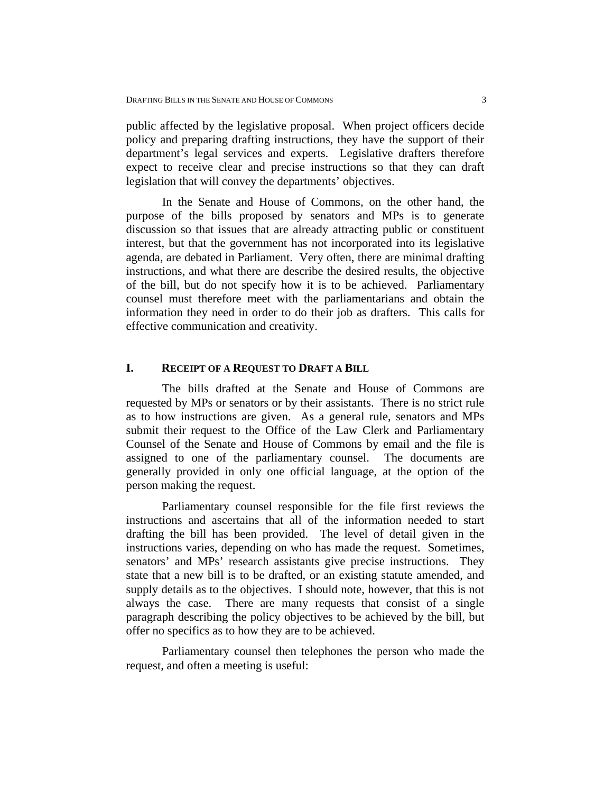public affected by the legislative proposal. When project officers decide policy and preparing drafting instructions, they have the support of their department's legal services and experts. Legislative drafters therefore expect to receive clear and precise instructions so that they can draft legislation that will convey the departments' objectives.

In the Senate and House of Commons, on the other hand, the purpose of the bills proposed by senators and MPs is to generate discussion so that issues that are already attracting public or constituent interest, but that the government has not incorporated into its legislative agenda, are debated in Parliament. Very often, there are minimal drafting instructions, and what there are describe the desired results, the objective of the bill, but do not specify how it is to be achieved. Parliamentary counsel must therefore meet with the parliamentarians and obtain the information they need in order to do their job as drafters. This calls for effective communication and creativity.

#### **I. RECEIPT OF A REQUEST TO DRAFT A BILL**

The bills drafted at the Senate and House of Commons are requested by MPs or senators or by their assistants. There is no strict rule as to how instructions are given. As a general rule, senators and MPs submit their request to the Office of the Law Clerk and Parliamentary Counsel of the Senate and House of Commons by email and the file is assigned to one of the parliamentary counsel. The documents are generally provided in only one official language, at the option of the person making the request.

Parliamentary counsel responsible for the file first reviews the instructions and ascertains that all of the information needed to start drafting the bill has been provided. The level of detail given in the instructions varies, depending on who has made the request. Sometimes, senators' and MPs' research assistants give precise instructions. They state that a new bill is to be drafted, or an existing statute amended, and supply details as to the objectives. I should note, however, that this is not always the case. There are many requests that consist of a single paragraph describing the policy objectives to be achieved by the bill, but offer no specifics as to how they are to be achieved.

Parliamentary counsel then telephones the person who made the request, and often a meeting is useful: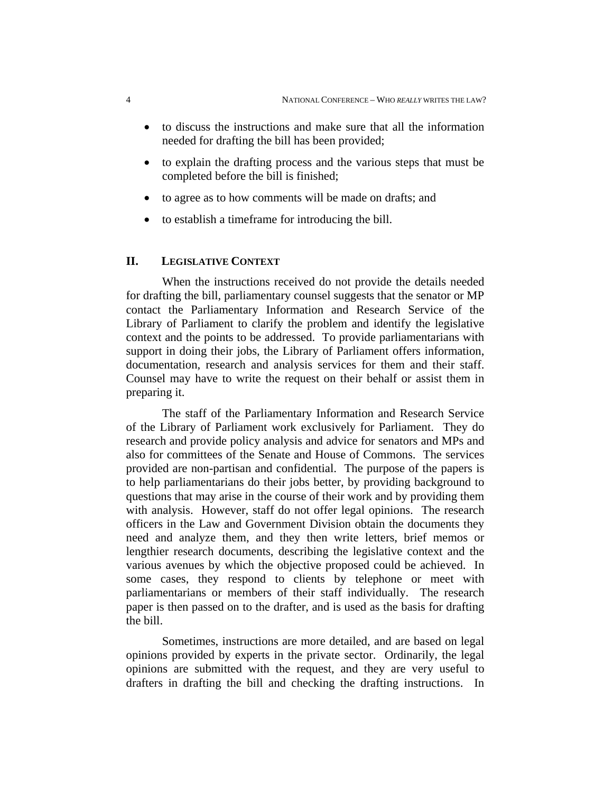- to discuss the instructions and make sure that all the information needed for drafting the bill has been provided;
- to explain the drafting process and the various steps that must be completed before the bill is finished;
- to agree as to how comments will be made on drafts; and
- to establish a timeframe for introducing the bill.

## **II. LEGISLATIVE CONTEXT**

When the instructions received do not provide the details needed for drafting the bill, parliamentary counsel suggests that the senator or MP contact the Parliamentary Information and Research Service of the Library of Parliament to clarify the problem and identify the legislative context and the points to be addressed. To provide parliamentarians with support in doing their jobs, the Library of Parliament offers information, documentation, research and analysis services for them and their staff. Counsel may have to write the request on their behalf or assist them in preparing it.

The staff of the Parliamentary Information and Research Service of the Library of Parliament work exclusively for Parliament. They do research and provide policy analysis and advice for senators and MPs and also for committees of the Senate and House of Commons. The services provided are non-partisan and confidential. The purpose of the papers is to help parliamentarians do their jobs better, by providing background to questions that may arise in the course of their work and by providing them with analysis. However, staff do not offer legal opinions. The research officers in the Law and Government Division obtain the documents they need and analyze them, and they then write letters, brief memos or lengthier research documents, describing the legislative context and the various avenues by which the objective proposed could be achieved. In some cases, they respond to clients by telephone or meet with parliamentarians or members of their staff individually. The research paper is then passed on to the drafter, and is used as the basis for drafting the bill.

Sometimes, instructions are more detailed, and are based on legal opinions provided by experts in the private sector. Ordinarily, the legal opinions are submitted with the request, and they are very useful to drafters in drafting the bill and checking the drafting instructions. In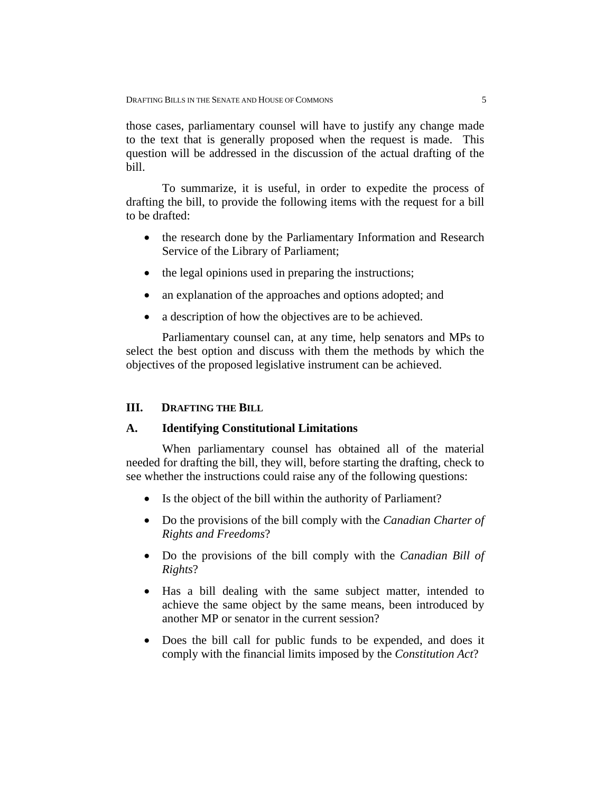those cases, parliamentary counsel will have to justify any change made to the text that is generally proposed when the request is made. This question will be addressed in the discussion of the actual drafting of the bill.

To summarize, it is useful, in order to expedite the process of drafting the bill, to provide the following items with the request for a bill to be drafted:

- the research done by the Parliamentary Information and Research Service of the Library of Parliament;
- the legal opinions used in preparing the instructions;
- an explanation of the approaches and options adopted; and
- a description of how the objectives are to be achieved.

Parliamentary counsel can, at any time, help senators and MPs to select the best option and discuss with them the methods by which the objectives of the proposed legislative instrument can be achieved.

# **III. DRAFTING THE BILL**

#### **A. Identifying Constitutional Limitations**

When parliamentary counsel has obtained all of the material needed for drafting the bill, they will, before starting the drafting, check to see whether the instructions could raise any of the following questions:

- Is the object of the bill within the authority of Parliament?
- Do the provisions of the bill comply with the *Canadian Charter of Rights and Freedoms*?
- Do the provisions of the bill comply with the *Canadian Bill of Rights*?
- Has a bill dealing with the same subject matter, intended to achieve the same object by the same means, been introduced by another MP or senator in the current session?
- Does the bill call for public funds to be expended, and does it comply with the financial limits imposed by the *Constitution Act*?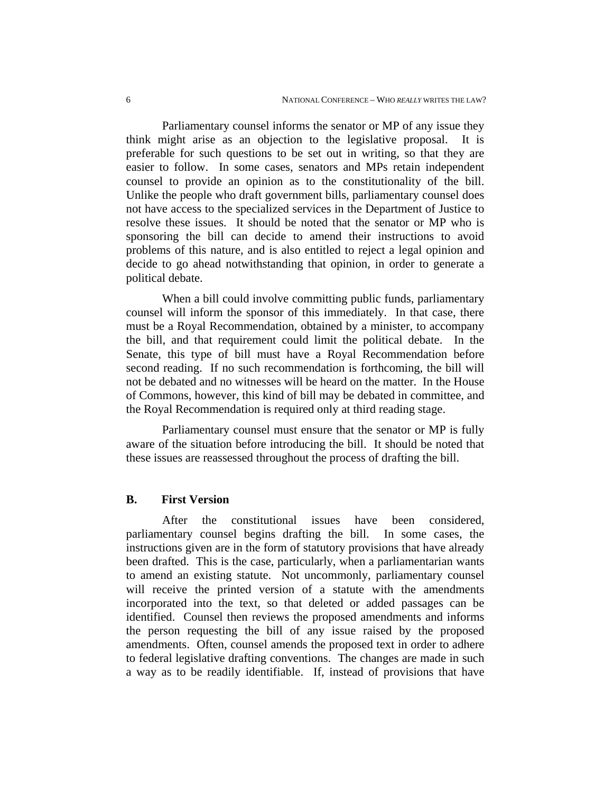Parliamentary counsel informs the senator or MP of any issue they think might arise as an objection to the legislative proposal. It is preferable for such questions to be set out in writing, so that they are easier to follow. In some cases, senators and MPs retain independent counsel to provide an opinion as to the constitutionality of the bill. Unlike the people who draft government bills, parliamentary counsel does not have access to the specialized services in the Department of Justice to resolve these issues. It should be noted that the senator or MP who is sponsoring the bill can decide to amend their instructions to avoid problems of this nature, and is also entitled to reject a legal opinion and decide to go ahead notwithstanding that opinion, in order to generate a political debate.

When a bill could involve committing public funds, parliamentary counsel will inform the sponsor of this immediately. In that case, there must be a Royal Recommendation, obtained by a minister, to accompany the bill, and that requirement could limit the political debate. In the Senate, this type of bill must have a Royal Recommendation before second reading. If no such recommendation is forthcoming, the bill will not be debated and no witnesses will be heard on the matter. In the House of Commons, however, this kind of bill may be debated in committee, and the Royal Recommendation is required only at third reading stage.

Parliamentary counsel must ensure that the senator or MP is fully aware of the situation before introducing the bill. It should be noted that these issues are reassessed throughout the process of drafting the bill.

#### **B. First Version**

After the constitutional issues have been considered, parliamentary counsel begins drafting the bill. In some cases, the instructions given are in the form of statutory provisions that have already been drafted. This is the case, particularly, when a parliamentarian wants to amend an existing statute. Not uncommonly, parliamentary counsel will receive the printed version of a statute with the amendments incorporated into the text, so that deleted or added passages can be identified. Counsel then reviews the proposed amendments and informs the person requesting the bill of any issue raised by the proposed amendments. Often, counsel amends the proposed text in order to adhere to federal legislative drafting conventions. The changes are made in such a way as to be readily identifiable. If, instead of provisions that have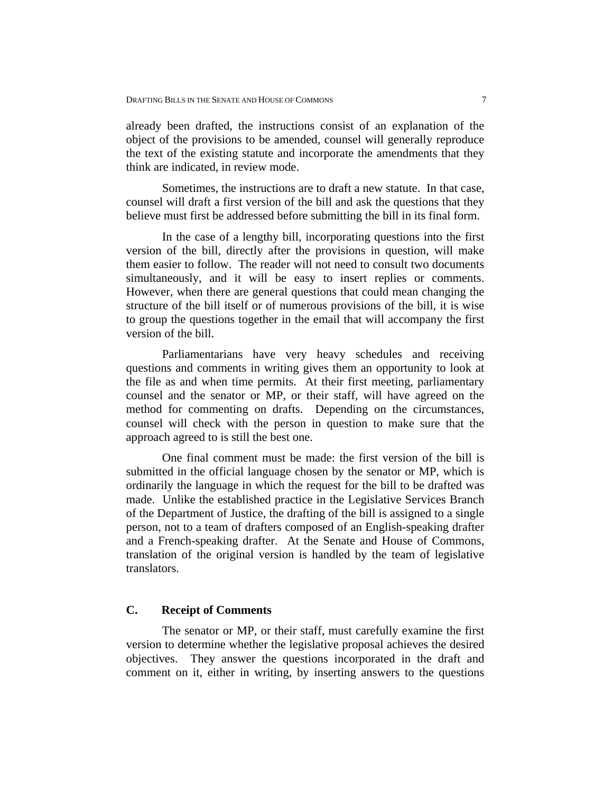already been drafted, the instructions consist of an explanation of the object of the provisions to be amended, counsel will generally reproduce the text of the existing statute and incorporate the amendments that they think are indicated, in review mode.

Sometimes, the instructions are to draft a new statute. In that case, counsel will draft a first version of the bill and ask the questions that they believe must first be addressed before submitting the bill in its final form.

In the case of a lengthy bill, incorporating questions into the first version of the bill, directly after the provisions in question, will make them easier to follow. The reader will not need to consult two documents simultaneously, and it will be easy to insert replies or comments. However, when there are general questions that could mean changing the structure of the bill itself or of numerous provisions of the bill, it is wise to group the questions together in the email that will accompany the first version of the bill.

Parliamentarians have very heavy schedules and receiving questions and comments in writing gives them an opportunity to look at the file as and when time permits. At their first meeting, parliamentary counsel and the senator or MP, or their staff, will have agreed on the method for commenting on drafts. Depending on the circumstances, counsel will check with the person in question to make sure that the approach agreed to is still the best one.

One final comment must be made: the first version of the bill is submitted in the official language chosen by the senator or MP, which is ordinarily the language in which the request for the bill to be drafted was made. Unlike the established practice in the Legislative Services Branch of the Department of Justice, the drafting of the bill is assigned to a single person, not to a team of drafters composed of an English-speaking drafter and a French-speaking drafter. At the Senate and House of Commons, translation of the original version is handled by the team of legislative translators.

#### **C. Receipt of Comments**

The senator or MP, or their staff, must carefully examine the first version to determine whether the legislative proposal achieves the desired objectives. They answer the questions incorporated in the draft and comment on it, either in writing, by inserting answers to the questions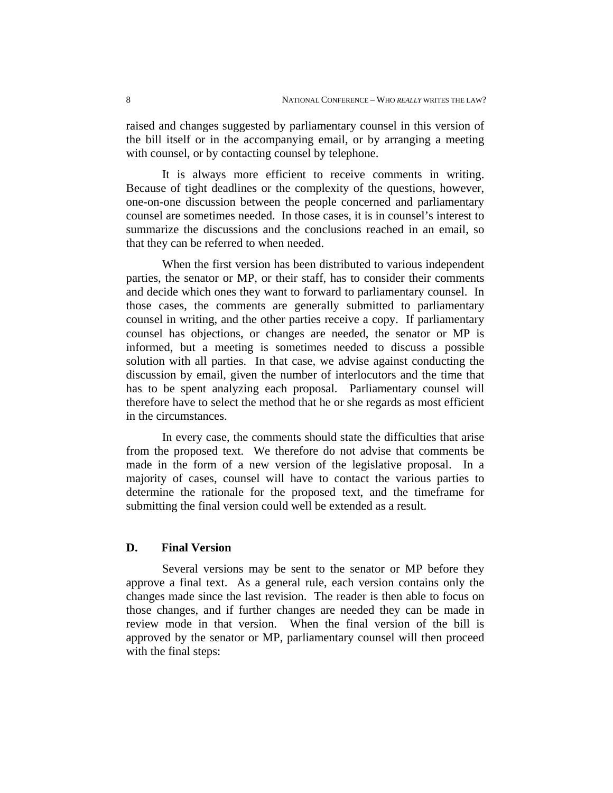raised and changes suggested by parliamentary counsel in this version of the bill itself or in the accompanying email, or by arranging a meeting with counsel, or by contacting counsel by telephone.

It is always more efficient to receive comments in writing. Because of tight deadlines or the complexity of the questions, however, one-on-one discussion between the people concerned and parliamentary counsel are sometimes needed. In those cases, it is in counsel's interest to summarize the discussions and the conclusions reached in an email, so that they can be referred to when needed.

When the first version has been distributed to various independent parties, the senator or MP, or their staff, has to consider their comments and decide which ones they want to forward to parliamentary counsel. In those cases, the comments are generally submitted to parliamentary counsel in writing, and the other parties receive a copy. If parliamentary counsel has objections, or changes are needed, the senator or MP is informed, but a meeting is sometimes needed to discuss a possible solution with all parties. In that case, we advise against conducting the discussion by email, given the number of interlocutors and the time that has to be spent analyzing each proposal. Parliamentary counsel will therefore have to select the method that he or she regards as most efficient in the circumstances.

In every case, the comments should state the difficulties that arise from the proposed text. We therefore do not advise that comments be made in the form of a new version of the legislative proposal. In a majority of cases, counsel will have to contact the various parties to determine the rationale for the proposed text, and the timeframe for submitting the final version could well be extended as a result.

## **D. Final Version**

Several versions may be sent to the senator or MP before they approve a final text. As a general rule, each version contains only the changes made since the last revision. The reader is then able to focus on those changes, and if further changes are needed they can be made in review mode in that version. When the final version of the bill is approved by the senator or MP, parliamentary counsel will then proceed with the final steps: